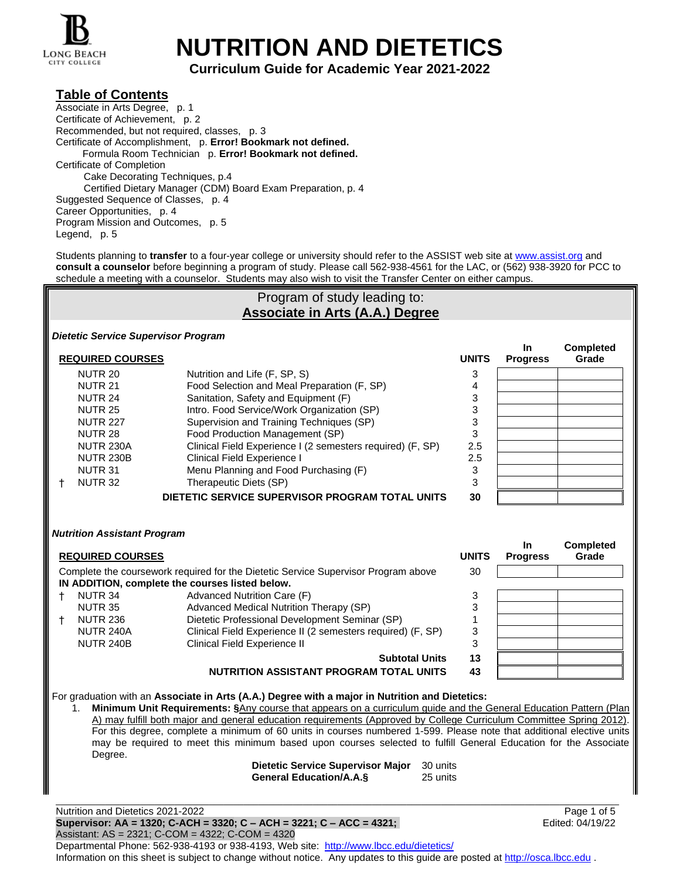

# **NUTRITION AND DIETETICS**

# **Curriculum Guide for Academic Year 2021-2022**

# **Table of Contents**

Associate in Arts Degree, p. 1 Certificate of Achievement, p. 2 Recommended, but not required, classes, p. 3 Certificate of Accomplishment, p. **Error! Bookmark not defined.** Formula Room Technician p. **Error! Bookmark not defined.** Certificate of Completion Cake Decorating Techniques, p.4 Certified Dietary Manager (CDM) Board Exam Preparation, p. 4 Suggested Sequence of Classes, p. 4 Career Opportunities, p. 4 Program Mission and Outcomes, p. 5 Legend, p. 5

Students planning to **transfer** to a four-year college or university should refer to the ASSIST web site at [www.assist.org](http://www.assist.org/) and **consult a counselor** before beginning a program of study. Please call 562-938-4561 for the LAC, or (562) 938-3920 for PCC to schedule a meeting with a counselor. Students may also wish to visit the Transfer Center on either campus.

## Program of study leading to: **Associate in Arts (A.A.) Degree**

**Completed** 

#### *Dietetic Service Supervisor Program*

| <b>REQUIRED COURSES</b> |                                                            | <b>UNITS</b> | <b>In</b><br><b>Progress</b> | <b>Completed</b><br>Grade |
|-------------------------|------------------------------------------------------------|--------------|------------------------------|---------------------------|
| <b>NUTR 20</b>          | Nutrition and Life (F, SP, S)                              |              |                              |                           |
| <b>NUTR 21</b>          | Food Selection and Meal Preparation (F, SP)                |              |                              |                           |
| NUTR 24                 | Sanitation, Safety and Equipment (F)                       | 3            |                              |                           |
| <b>NUTR 25</b>          | Intro. Food Service/Work Organization (SP)                 | 3            |                              |                           |
| <b>NUTR 227</b>         | Supervision and Training Techniques (SP)                   | 3            |                              |                           |
| NUTR <sub>28</sub>      | Food Production Management (SP)                            | 3            |                              |                           |
| <b>NUTR 230A</b>        | Clinical Field Experience I (2 semesters required) (F, SP) | 2.5          |                              |                           |
| <b>NUTR 230B</b>        | Clinical Field Experience I                                | 2.5          |                              |                           |
| NUTR <sub>31</sub>      | Menu Planning and Food Purchasing (F)                      | 3            |                              |                           |
| NUTR 32                 | Therapeutic Diets (SP)                                     | 3            |                              |                           |
|                         | DIETETIC SERVICE SUPERVISOR PROGRAM TOTAL UNITS            | 30           |                              |                           |

#### *Nutrition Assistant Program*

| <b>REQUIRED COURSES</b>              |                                                                                                                                       | <b>UNITS</b> | In<br><b>Progress</b> | <b>Completed</b><br>Grade |
|--------------------------------------|---------------------------------------------------------------------------------------------------------------------------------------|--------------|-----------------------|---------------------------|
|                                      | Complete the coursework required for the Dietetic Service Supervisor Program above<br>IN ADDITION, complete the courses listed below. | 30           |                       |                           |
| NUTR 34                              | Advanced Nutrition Care (F)                                                                                                           | 3            |                       |                           |
| <b>NUTR 35</b><br><b>NUTR 236</b>    | Advanced Medical Nutrition Therapy (SP)<br>Dietetic Professional Development Seminar (SP)                                             | 3            |                       |                           |
| <b>NUTR 240A</b><br><b>NUTR 240B</b> | Clinical Field Experience II (2 semesters required) (F, SP)<br>Clinical Field Experience II                                           | 3<br>3       |                       |                           |
|                                      | <b>Subtotal Units</b>                                                                                                                 | 13           |                       |                           |
|                                      | NUTRITION ASSISTANT PROGRAM TOTAL UNITS                                                                                               | 43           |                       |                           |

For graduation with an **Associate in Arts (A.A.) Degree with a major in Nutrition and Dietetics:**

1. **Minimum Unit Requirements: §**Any course that appears on a curriculum guide and the General Education Pattern (Plan A) may fulfill both major and general education requirements (Approved by College Curriculum Committee Spring 2012). For this degree, complete a minimum of 60 units in courses numbered 1-599. Please note that additional elective units may be required to meet this minimum based upon courses selected to fulfill General Education for the Associate Degree.

| Dietetic Service Supervisor Major 30 units |          |
|--------------------------------------------|----------|
| <b>General Education/A.A.S</b>             | 25 units |

Nutrition and Dietetics 2021-2022 Page 1 of 5 **Supervisor: AA = 1320; C-ACH = 3320; C – ACH = 3221; C – ACC = 4321;** Edited: 04/19/22 Assistant: AS = 2321; C-COM = 4322; C-COM = 4320 Departmental Phone: 562-938-4193 or 938-4193, Web site: [http://www.lbcc.edu/dietetics/](http://dietetics.lbcc.edu/) Information on this sheet is subject to change without notice. Any updates to this guide are posted a[t http://osca.lbcc.edu](http://osca.lbcc.edu/).

\_\_\_\_\_\_\_\_\_\_\_\_\_\_\_\_\_\_\_\_\_\_\_\_\_\_\_\_\_\_\_\_\_\_\_\_\_\_\_\_\_\_\_\_\_\_\_\_\_\_\_\_\_\_\_\_\_\_\_\_\_\_\_\_\_\_\_\_\_\_\_\_\_\_\_\_\_\_\_\_\_\_\_\_\_\_\_\_\_\_\_\_\_\_\_\_\_\_\_\_\_\_\_\_\_\_\_\_\_\_\_\_\_\_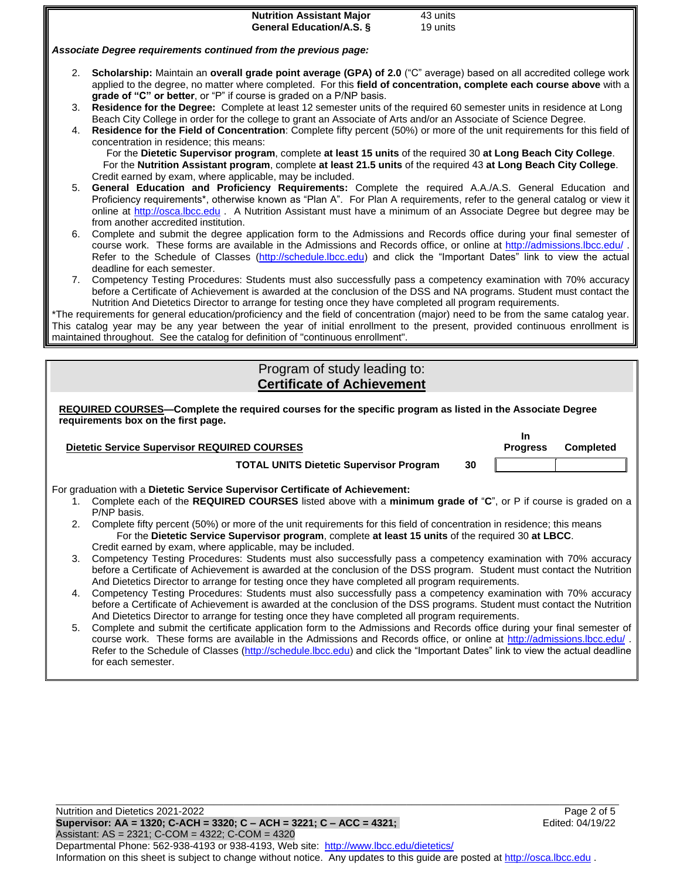|                              | <b>Nutrition Assistant Major</b><br>43 units                                                                                                                                                                                                                                                                                                                                                                                                                        |                 |                  |  |  |
|------------------------------|---------------------------------------------------------------------------------------------------------------------------------------------------------------------------------------------------------------------------------------------------------------------------------------------------------------------------------------------------------------------------------------------------------------------------------------------------------------------|-----------------|------------------|--|--|
|                              | <b>General Education/A.S. §</b><br>19 units                                                                                                                                                                                                                                                                                                                                                                                                                         |                 |                  |  |  |
|                              | Associate Degree requirements continued from the previous page:                                                                                                                                                                                                                                                                                                                                                                                                     |                 |                  |  |  |
|                              | 2. Scholarship: Maintain an overall grade point average (GPA) of 2.0 ("C" average) based on all accredited college work<br>applied to the degree, no matter where completed. For this field of concentration, complete each course above with a                                                                                                                                                                                                                     |                 |                  |  |  |
| 3.                           | grade of "C" or better, or "P" if course is graded on a P/NP basis.<br>Residence for the Degree: Complete at least 12 semester units of the required 60 semester units in residence at Long<br>Beach City College in order for the college to grant an Associate of Arts and/or an Associate of Science Degree.                                                                                                                                                     |                 |                  |  |  |
| 4.                           | Residence for the Field of Concentration: Complete fifty percent (50%) or more of the unit requirements for this field of<br>concentration in residence; this means:<br>For the Dietetic Supervisor program, complete at least 15 units of the required 30 at Long Beach City College.<br>For the Nutrition Assistant program, complete at least 21.5 units of the required 43 at Long Beach City College.                                                          |                 |                  |  |  |
|                              | Credit earned by exam, where applicable, may be included.<br>General Education and Proficiency Requirements: Complete the required A.A./A.S. General Education and<br>5.<br>Proficiency requirements*, otherwise known as "Plan A". For Plan A requirements, refer to the general catalog or view it<br>online at http://osca.lbcc.edu . A Nutrition Assistant must have a minimum of an Associate Degree but degree may be<br>from another accredited institution. |                 |                  |  |  |
| 6.                           | Complete and submit the degree application form to the Admissions and Records office during your final semester of<br>course work. These forms are available in the Admissions and Records office, or online at http://admissions.lbcc.edu/.<br>Refer to the Schedule of Classes (http://schedule.lbcc.edu) and click the "Important Dates" link to view the actual<br>deadline for each semester.                                                                  |                 |                  |  |  |
|                              | 7. Competency Testing Procedures: Students must also successfully pass a competency examination with 70% accuracy<br>before a Certificate of Achievement is awarded at the conclusion of the DSS and NA programs. Student must contact the<br>Nutrition And Dietetics Director to arrange for testing once they have completed all program requirements.                                                                                                            |                 |                  |  |  |
|                              | *The requirements for general education/proficiency and the field of concentration (major) need to be from the same catalog year.                                                                                                                                                                                                                                                                                                                                   |                 |                  |  |  |
|                              | This catalog year may be any year between the year of initial enrollment to the present, provided continuous enrollment is<br>maintained throughout. See the catalog for definition of "continuous enrollment".                                                                                                                                                                                                                                                     |                 |                  |  |  |
|                              |                                                                                                                                                                                                                                                                                                                                                                                                                                                                     |                 |                  |  |  |
| Program of study leading to: |                                                                                                                                                                                                                                                                                                                                                                                                                                                                     |                 |                  |  |  |
|                              |                                                                                                                                                                                                                                                                                                                                                                                                                                                                     |                 |                  |  |  |
|                              | <b>Certificate of Achievement</b>                                                                                                                                                                                                                                                                                                                                                                                                                                   |                 |                  |  |  |
|                              | REQUIRED COURSES-Complete the required courses for the specific program as listed in the Associate Degree<br>requirements box on the first page.                                                                                                                                                                                                                                                                                                                    |                 |                  |  |  |
|                              |                                                                                                                                                                                                                                                                                                                                                                                                                                                                     | In.             |                  |  |  |
|                              | <b>Dietetic Service Supervisor REQUIRED COURSES</b><br>30                                                                                                                                                                                                                                                                                                                                                                                                           | <b>Progress</b> | <b>Completed</b> |  |  |
|                              | <b>TOTAL UNITS Dietetic Supervisor Program</b>                                                                                                                                                                                                                                                                                                                                                                                                                      |                 |                  |  |  |
|                              | For graduation with a Dietetic Service Supervisor Certificate of Achievement:                                                                                                                                                                                                                                                                                                                                                                                       |                 |                  |  |  |
| 1.                           | Complete each of the REQUIRED COURSES listed above with a minimum grade of "C", or P if course is graded on a<br>P/NP basis.                                                                                                                                                                                                                                                                                                                                        |                 |                  |  |  |
| 2.                           | Complete fifty percent (50%) or more of the unit requirements for this field of concentration in residence; this means<br>For the Dietetic Service Supervisor program, complete at least 15 units of the required 30 at LBCC.                                                                                                                                                                                                                                       |                 |                  |  |  |
| 3.                           | Credit earned by exam, where applicable, may be included.<br>Competency Testing Procedures: Students must also successfully pass a competency examination with 70% accuracy<br>before a Certificate of Achievement is awarded at the conclusion of the DSS program. Student must contact the Nutrition                                                                                                                                                              |                 |                  |  |  |
| 4.                           | And Dietetics Director to arrange for testing once they have completed all program requirements.<br>Competency Testing Procedures: Students must also successfully pass a competency examination with 70% accuracy                                                                                                                                                                                                                                                  |                 |                  |  |  |
|                              | before a Certificate of Achievement is awarded at the conclusion of the DSS programs. Student must contact the Nutrition<br>And Dietetics Director to arrange for testing once they have completed all program requirements.                                                                                                                                                                                                                                        |                 |                  |  |  |
| 5.                           | Complete and submit the certificate application form to the Admissions and Records office during your final semester of<br>course work. These forms are available in the Admissions and Records office, or online at http://admissions.lbcc.edu/.<br>Refer to the Schedule of Classes (http://schedule.lbcc.edu) and click the "Important Dates" link to view the actual deadline<br>for each semester.                                                             |                 |                  |  |  |

\_\_\_\_\_\_\_\_\_\_\_\_\_\_\_\_\_\_\_\_\_\_\_\_\_\_\_\_\_\_\_\_\_\_\_\_\_\_\_\_\_\_\_\_\_\_\_\_\_\_\_\_\_\_\_\_\_\_\_\_\_\_\_\_\_\_\_\_\_\_\_\_\_\_\_\_\_\_\_\_\_\_\_\_\_\_\_\_\_\_\_\_\_\_\_\_\_\_\_\_\_\_\_\_\_\_\_\_\_\_\_\_\_\_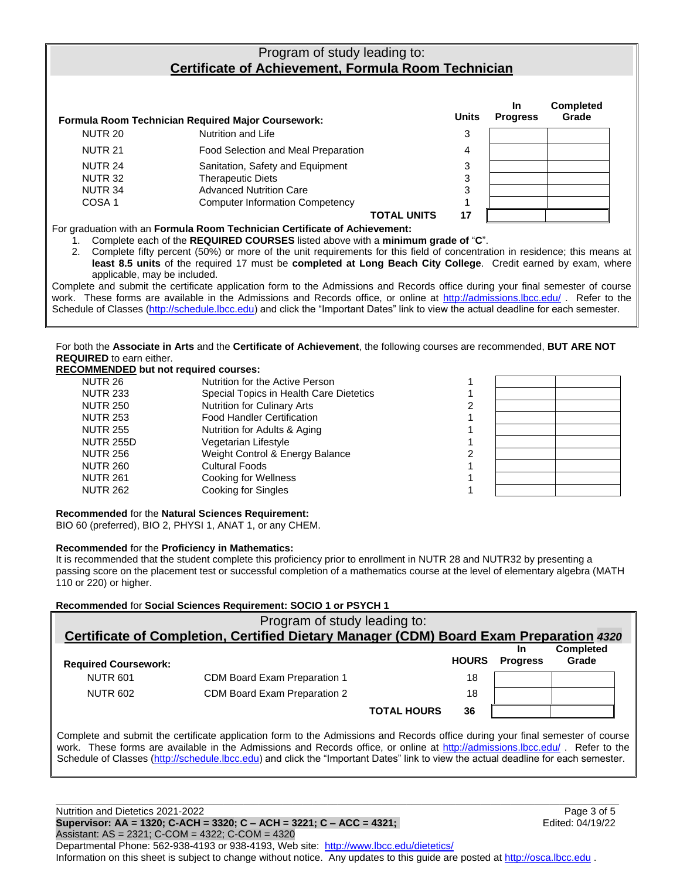# Program of study leading to: **Certificate of Achievement, Formula Room Technician**

| <b>Formula Room Technician Required Major Coursework:</b> |                                        |    | <b>In</b><br><b>Progress</b> | <b>Completed</b><br>Grade |
|-----------------------------------------------------------|----------------------------------------|----|------------------------------|---------------------------|
| NUTR 20                                                   | Nutrition and Life                     | 3  |                              |                           |
| <b>NUTR 21</b>                                            | Food Selection and Meal Preparation    | 4  |                              |                           |
| NUTR 24                                                   | Sanitation, Safety and Equipment       | 3  |                              |                           |
| NUTR <sub>32</sub>                                        | <b>Therapeutic Diets</b>               | 3  |                              |                           |
| NUTR <sub>34</sub>                                        | <b>Advanced Nutrition Care</b>         | 3  |                              |                           |
| COSA <sub>1</sub>                                         | <b>Computer Information Competency</b> |    |                              |                           |
|                                                           | <b>TOTAL UNITS</b>                     | 17 |                              |                           |

For graduation with an **Formula Room Technician Certificate of Achievement:**

1. Complete each of the **REQUIRED COURSES** listed above with a **minimum grade of** "**C**".

2. Complete fifty percent (50%) or more of the unit requirements for this field of concentration in residence; this means at **least 8.5 units** of the required 17 must be **completed at Long Beach City College**. Credit earned by exam, where applicable, may be included.

Complete and submit the certificate application form to the Admissions and Records office during your final semester of course work. These forms are available in the Admissions and Records office, or online at<http://admissions.lbcc.edu/>. Refer to the Schedule of Classes [\(http://schedule.lbcc.edu\)](http://schedule.lbcc.edu/) and click the "Important Dates" link to view the actual deadline for each semester.

For both the **Associate in Arts** and the **Certificate of Achievement**, the following courses are recommended, **BUT ARE NOT REQUIRED** to earn either.

# **RECOMMENDED but not required courses:**

| OOMMENDED DUI NOI IEGUN EU COUISES. |                                         |  |  |
|-------------------------------------|-----------------------------------------|--|--|
| NUTR 26                             | Nutrition for the Active Person         |  |  |
| <b>NUTR 233</b>                     | Special Topics in Health Care Dietetics |  |  |
| <b>NUTR 250</b>                     | <b>Nutrition for Culinary Arts</b>      |  |  |
| <b>NUTR 253</b>                     | <b>Food Handler Certification</b>       |  |  |
| <b>NUTR 255</b>                     | Nutrition for Adults & Aging            |  |  |
| <b>NUTR 255D</b>                    | Vegetarian Lifestyle                    |  |  |
| <b>NUTR 256</b>                     | Weight Control & Energy Balance         |  |  |
| <b>NUTR 260</b>                     | <b>Cultural Foods</b>                   |  |  |
| <b>NUTR 261</b>                     | Cooking for Wellness                    |  |  |
| <b>NUTR 262</b>                     | <b>Cooking for Singles</b>              |  |  |
|                                     |                                         |  |  |

**Recommended** for the **Natural Sciences Requirement:**

BIO 60 (preferred), BIO 2, PHYSI 1, ANAT 1, or any CHEM.

#### **Recommended** for the **Proficiency in Mathematics:**

It is recommended that the student complete this proficiency prior to enrollment in NUTR 28 and NUTR32 by presenting a passing score on the placement test or successful completion of a mathematics course at the level of elementary algebra (MATH 110 or 220) or higher.

## **Recommended** for **Social Sciences Requirement: SOCIO 1 or PSYCH 1**

|                                                                                        | Program of study leading to:                                                                                                                                                                                                                                   |              |                              |                           |  |
|----------------------------------------------------------------------------------------|----------------------------------------------------------------------------------------------------------------------------------------------------------------------------------------------------------------------------------------------------------------|--------------|------------------------------|---------------------------|--|
| Certificate of Completion, Certified Dietary Manager (CDM) Board Exam Preparation 4320 |                                                                                                                                                                                                                                                                |              |                              |                           |  |
| <b>Required Coursework:</b>                                                            |                                                                                                                                                                                                                                                                | <b>HOURS</b> | <b>In</b><br><b>Progress</b> | <b>Completed</b><br>Grade |  |
| <b>NUTR 601</b>                                                                        | CDM Board Exam Preparation 1                                                                                                                                                                                                                                   | 18           |                              |                           |  |
| <b>NUTR 602</b>                                                                        | CDM Board Exam Preparation 2                                                                                                                                                                                                                                   | 18           |                              |                           |  |
|                                                                                        | <b>TOTAL HOURS</b>                                                                                                                                                                                                                                             | 36           |                              |                           |  |
|                                                                                        | Complete and submit the certificate application form to the Admissions and Records office during your final semester of course<br>work. These forms are available in the Admissions and Records office, or online at http://admissions.lbcc.edu/. Refer to the |              |                              |                           |  |

\_\_\_\_\_\_\_\_\_\_\_\_\_\_\_\_\_\_\_\_\_\_\_\_\_\_\_\_\_\_\_\_\_\_\_\_\_\_\_\_\_\_\_\_\_\_\_\_\_\_\_\_\_\_\_\_\_\_\_\_\_\_\_\_\_\_\_\_\_\_\_\_\_\_\_\_\_\_\_\_\_\_\_\_\_\_\_\_\_\_\_\_\_\_\_\_\_\_\_\_\_\_\_\_\_\_\_\_\_\_\_\_\_\_ Nutrition and Dietetics 2021-2022 Page 3 of 5 Schedule of Classes [\(http://schedule.lbcc.edu\)](http://schedule.lbcc.edu/) and click the "Important Dates" link to view the actual deadline for each semester.

**Supervisor: AA = 1320; C-ACH = 3320; C – ACH = 3221; C – ACC = 4321;** Edited: 04/19/22 Assistant: AS = 2321; C-COM = 4322; C-COM = 4320 Departmental Phone: 562-938-4193 or 938-4193, Web site: [http://www.lbcc.edu/dietetics/](http://dietetics.lbcc.edu/) Information on this sheet is subject to change without notice. Any updates to this guide are posted a[t http://osca.lbcc.edu](http://osca.lbcc.edu/) .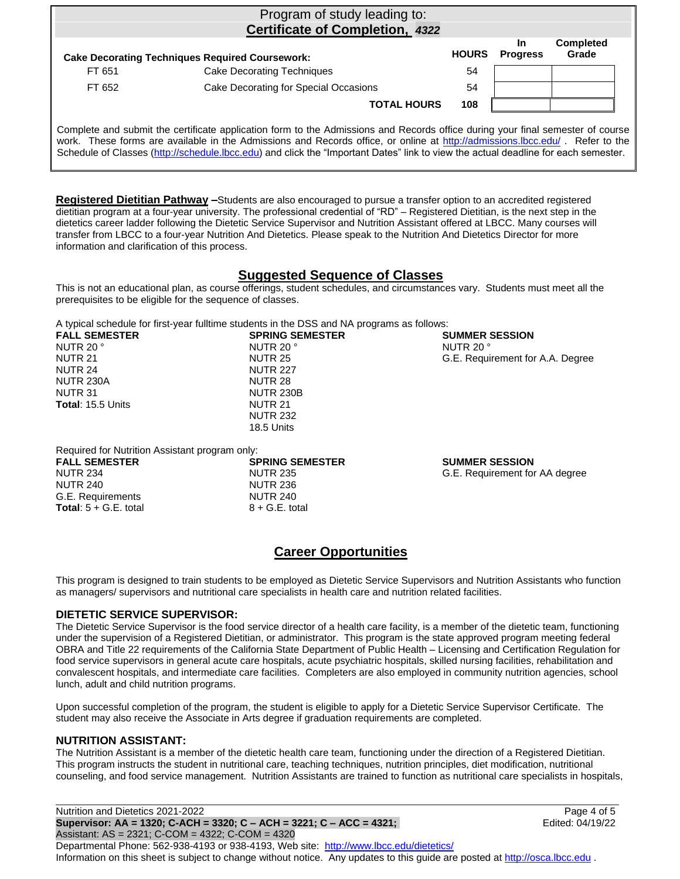|        | Program of study leading to:<br>Certificate of Completion, 4322                                                                                                                                                                                                |              |                              |                           |
|--------|----------------------------------------------------------------------------------------------------------------------------------------------------------------------------------------------------------------------------------------------------------------|--------------|------------------------------|---------------------------|
|        | <b>Cake Decorating Techniques Required Coursework:</b>                                                                                                                                                                                                         | <b>HOURS</b> | <b>In</b><br><b>Progress</b> | <b>Completed</b><br>Grade |
| FT 651 | <b>Cake Decorating Techniques</b>                                                                                                                                                                                                                              | 54           |                              |                           |
| FT 652 | Cake Decorating for Special Occasions                                                                                                                                                                                                                          | 54           |                              |                           |
|        | <b>TOTAL HOURS</b>                                                                                                                                                                                                                                             | 108          |                              |                           |
|        | Complete and submit the certificate application form to the Admissions and Records office during your final semester of course<br>work. These forms are available in the Admissions and Records office, or online at http://admissions.lbcc.edu/. Refer to the |              |                              |                           |

Schedule of Classes [\(http://schedule.lbcc.edu\)](http://schedule.lbcc.edu/) and click the "Important Dates" link to view the actual deadline for each semester.

**Registered Dietitian Pathway –**Students are also encouraged to pursue a transfer option to an accredited registered dietitian program at a four-year university. The professional credential of "RD" – Registered Dietitian, is the next step in the dietetics career ladder following the Dietetic Service Supervisor and Nutrition Assistant offered at LBCC. Many courses will transfer from LBCC to a four-year Nutrition And Dietetics. Please speak to the Nutrition And Dietetics Director for more

## **Suggested Sequence of Classes**

This is not an educational plan, as course offerings, student schedules, and circumstances vary. Students must meet all the prerequisites to be eligible for the sequence of classes.

A typical schedule for first-year fulltime students in the DSS and NA programs as follows:

| <b>SPRING SEMESTER</b> | <b>SUMMER SESSION</b>            |
|------------------------|----------------------------------|
| NUTR 20 °              | NUTR 20 °                        |
| NUTR 25                | G.E. Requirement for A.A. Degree |
| <b>NUTR 227</b>        |                                  |
| NUTR 28                |                                  |
| <b>NUTR 230B</b>       |                                  |
| NUTR 21                |                                  |
| <b>NUTR 232</b>        |                                  |
| 18.5 Units             |                                  |
|                        |                                  |

Required for Nutrition Assistant program only:

information and clarification of this process.

| <b>FALL SEMESTER</b>           | <b>SPRING SEMESTER</b> | <b>SUMMER SESSION</b>          |
|--------------------------------|------------------------|--------------------------------|
| <b>NUTR 234</b>                | NUTR 235               | G.E. Requirement for AA degree |
| NUTR 240                       | NUTR 236               |                                |
| G.E. Requirements              | <b>NUTR 240</b>        |                                |
| <b>Total:</b> $5 + G.E.$ total | $8 + G.E.$ total       |                                |
|                                |                        |                                |
|                                |                        |                                |

# **Career Opportunities**

This program is designed to train students to be employed as Dietetic Service Supervisors and Nutrition Assistants who function as managers/ supervisors and nutritional care specialists in health care and nutrition related facilities.

## **DIETETIC SERVICE SUPERVISOR:**

The Dietetic Service Supervisor is the food service director of a health care facility, is a member of the dietetic team, functioning under the supervision of a Registered Dietitian, or administrator. This program is the state approved program meeting federal OBRA and Title 22 requirements of the California State Department of Public Health – Licensing and Certification Regulation for food service supervisors in general acute care hospitals, acute psychiatric hospitals, skilled nursing facilities, rehabilitation and convalescent hospitals, and intermediate care facilities. Completers are also employed in community nutrition agencies, school lunch, adult and child nutrition programs.

Upon successful completion of the program, the student is eligible to apply for a Dietetic Service Supervisor Certificate. The student may also receive the Associate in Arts degree if graduation requirements are completed.

## **NUTRITION ASSISTANT:**

The Nutrition Assistant is a member of the dietetic health care team, functioning under the direction of a Registered Dietitian. This program instructs the student in nutritional care, teaching techniques, nutrition principles, diet modification, nutritional counseling, and food service management. Nutrition Assistants are trained to function as nutritional care specialists in hospitals,

Nutrition and Dietetics 2021-2022 Page 4 of 5 **Supervisor: AA = 1320; C-ACH = 3320; C – ACH = 3221; C – ACC = 4321;** Edited: 04/19/22 Assistant: AS = 2321; C-COM = 4322; C-COM = 4320 Departmental Phone: 562-938-4193 or 938-4193, Web site: [http://www.lbcc.edu/dietetics/](http://dietetics.lbcc.edu/) Information on this sheet is subject to change without notice. Any updates to this guide are posted a[t http://osca.lbcc.edu](http://osca.lbcc.edu/) .

\_\_\_\_\_\_\_\_\_\_\_\_\_\_\_\_\_\_\_\_\_\_\_\_\_\_\_\_\_\_\_\_\_\_\_\_\_\_\_\_\_\_\_\_\_\_\_\_\_\_\_\_\_\_\_\_\_\_\_\_\_\_\_\_\_\_\_\_\_\_\_\_\_\_\_\_\_\_\_\_\_\_\_\_\_\_\_\_\_\_\_\_\_\_\_\_\_\_\_\_\_\_\_\_\_\_\_\_\_\_\_\_\_\_